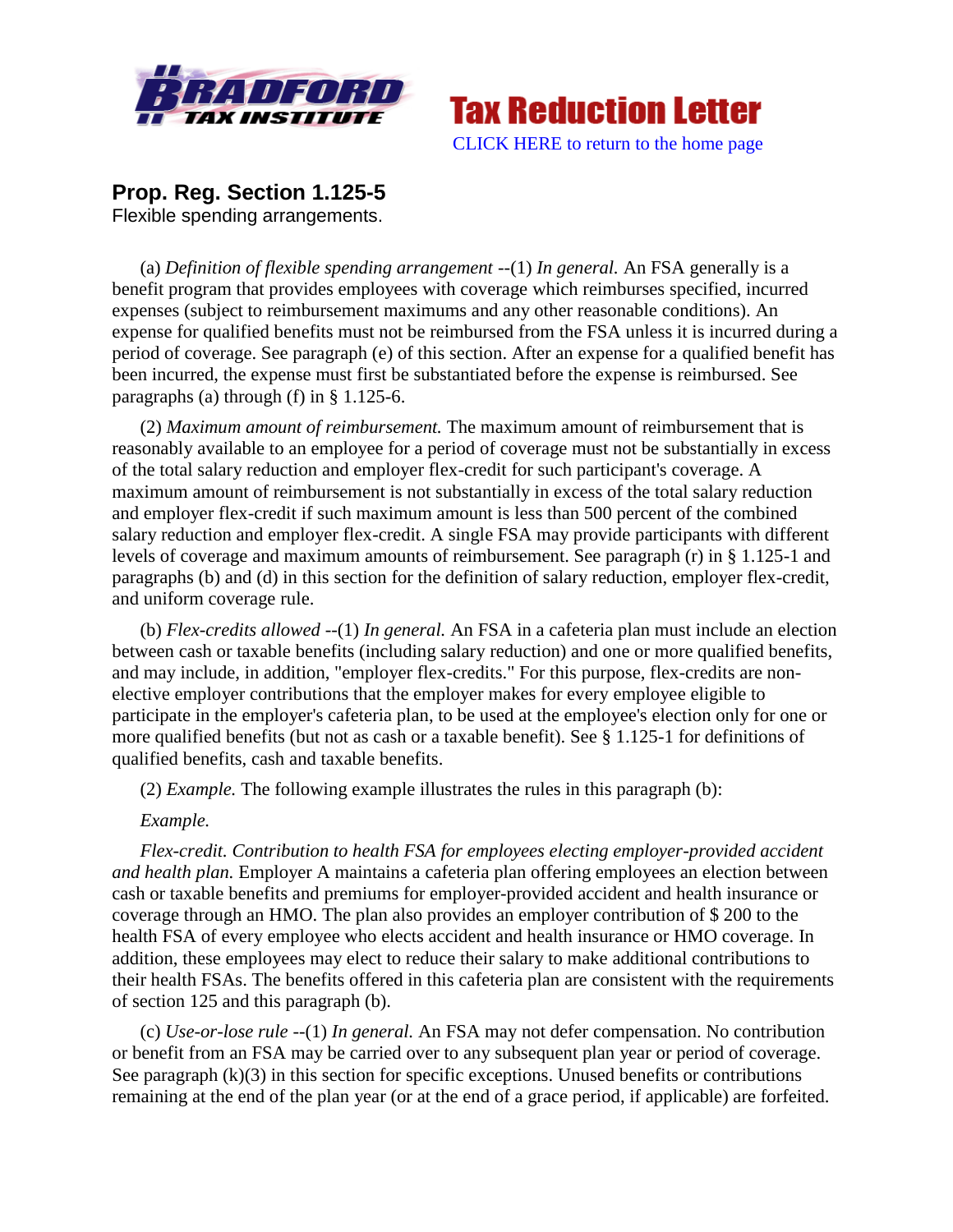



# **Prop. Reg. Section 1.125-5**

Flexible spending arrangements.

(a) *Definition of flexible spending arrangement* --(1) *In general.* An FSA generally is a benefit program that provides employees with coverage which reimburses specified, incurred expenses (subject to reimbursement maximums and any other reasonable conditions). An expense for qualified benefits must not be reimbursed from the FSA unless it is incurred during a period of coverage. See paragraph (e) of this section. After an expense for a qualified benefit has been incurred, the expense must first be substantiated before the expense is reimbursed. See paragraphs (a) through (f) in § 1.125-6.

(2) *Maximum amount of reimbursement.* The maximum amount of reimbursement that is reasonably available to an employee for a period of coverage must not be substantially in excess of the total salary reduction and employer flex-credit for such participant's coverage. A maximum amount of reimbursement is not substantially in excess of the total salary reduction and employer flex-credit if such maximum amount is less than 500 percent of the combined salary reduction and employer flex-credit. A single FSA may provide participants with different levels of coverage and maximum amounts of reimbursement. See paragraph (r) in § 1.125-1 and paragraphs (b) and (d) in this section for the definition of salary reduction, employer flex-credit, and uniform coverage rule.

(b) *Flex-credits allowed* --(1) *In general.* An FSA in a cafeteria plan must include an election between cash or taxable benefits (including salary reduction) and one or more qualified benefits, and may include, in addition, "employer flex-credits." For this purpose, flex-credits are nonelective employer contributions that the employer makes for every employee eligible to participate in the employer's cafeteria plan, to be used at the employee's election only for one or more qualified benefits (but not as cash or a taxable benefit). See § 1.125-1 for definitions of qualified benefits, cash and taxable benefits.

(2) *Example.* The following example illustrates the rules in this paragraph (b):

## *Example.*

*Flex-credit. Contribution to health FSA for employees electing employer-provided accident and health plan.* Employer A maintains a cafeteria plan offering employees an election between cash or taxable benefits and premiums for employer-provided accident and health insurance or coverage through an HMO. The plan also provides an employer contribution of \$ 200 to the health FSA of every employee who elects accident and health insurance or HMO coverage. In addition, these employees may elect to reduce their salary to make additional contributions to their health FSAs. The benefits offered in this cafeteria plan are consistent with the requirements of section 125 and this paragraph (b).

(c) *Use-or-lose rule* --(1) *In general.* An FSA may not defer compensation. No contribution or benefit from an FSA may be carried over to any subsequent plan year or period of coverage. See paragraph  $(k)(3)$  in this section for specific exceptions. Unused benefits or contributions remaining at the end of the plan year (or at the end of a grace period, if applicable) are forfeited.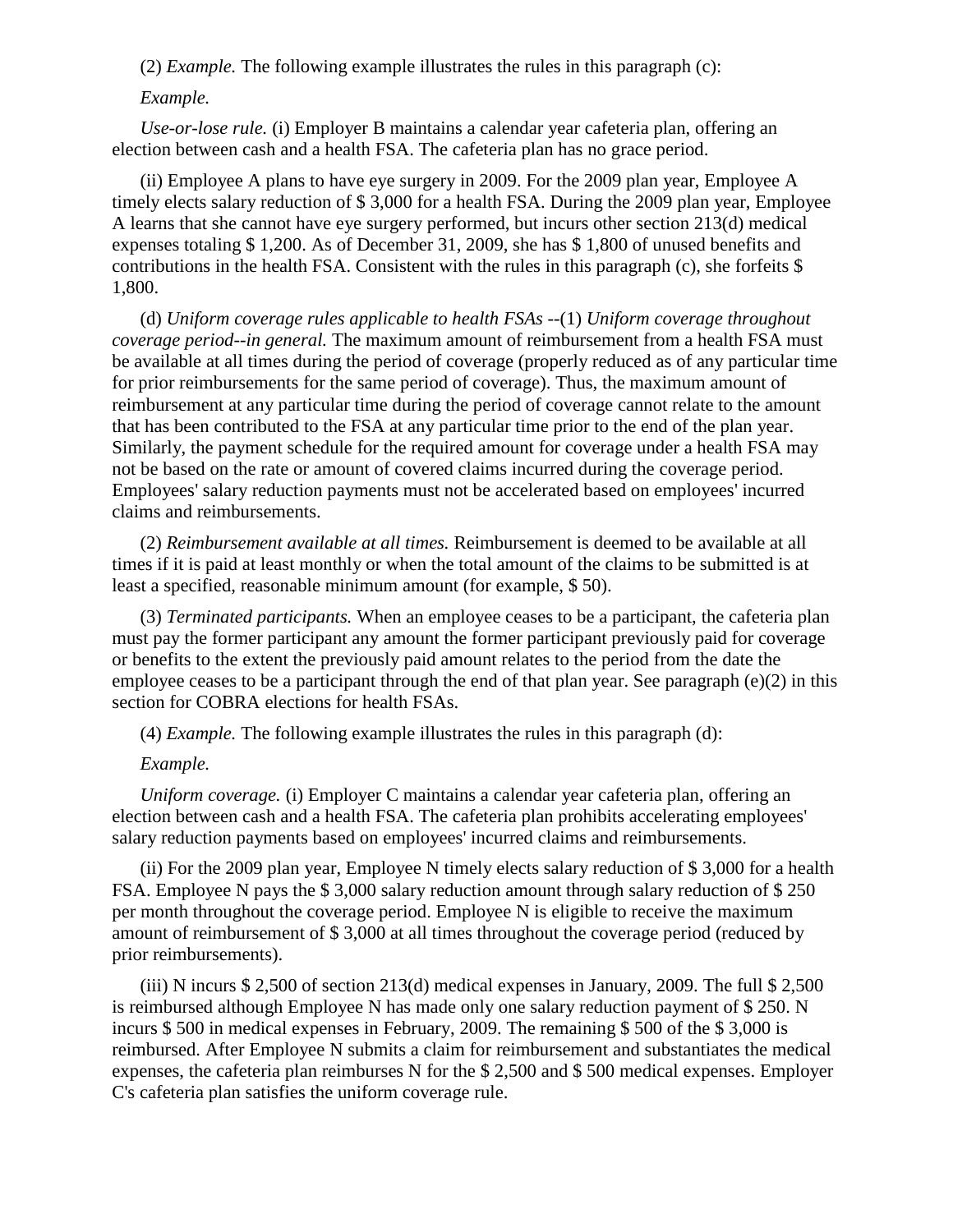(2) *Example.* The following example illustrates the rules in this paragraph (c):

### *Example.*

*Use-or-lose rule.* (i) Employer B maintains a calendar year cafeteria plan, offering an election between cash and a health FSA. The cafeteria plan has no grace period.

(ii) Employee A plans to have eye surgery in 2009. For the 2009 plan year, Employee A timely elects salary reduction of \$ 3,000 for a health FSA. During the 2009 plan year, Employee A learns that she cannot have eye surgery performed, but incurs other section 213(d) medical expenses totaling \$ 1,200. As of December 31, 2009, she has \$ 1,800 of unused benefits and contributions in the health FSA. Consistent with the rules in this paragraph (c), she forfeits \$ 1,800.

(d) *Uniform coverage rules applicable to health FSAs* --(1) *Uniform coverage throughout coverage period--in general.* The maximum amount of reimbursement from a health FSA must be available at all times during the period of coverage (properly reduced as of any particular time for prior reimbursements for the same period of coverage). Thus, the maximum amount of reimbursement at any particular time during the period of coverage cannot relate to the amount that has been contributed to the FSA at any particular time prior to the end of the plan year. Similarly, the payment schedule for the required amount for coverage under a health FSA may not be based on the rate or amount of covered claims incurred during the coverage period. Employees' salary reduction payments must not be accelerated based on employees' incurred claims and reimbursements.

(2) *Reimbursement available at all times.* Reimbursement is deemed to be available at all times if it is paid at least monthly or when the total amount of the claims to be submitted is at least a specified, reasonable minimum amount (for example, \$ 50).

(3) *Terminated participants.* When an employee ceases to be a participant, the cafeteria plan must pay the former participant any amount the former participant previously paid for coverage or benefits to the extent the previously paid amount relates to the period from the date the employee ceases to be a participant through the end of that plan year. See paragraph (e)(2) in this section for COBRA elections for health FSAs.

(4) *Example.* The following example illustrates the rules in this paragraph (d):

## *Example.*

*Uniform coverage.* (i) Employer C maintains a calendar year cafeteria plan, offering an election between cash and a health FSA. The cafeteria plan prohibits accelerating employees' salary reduction payments based on employees' incurred claims and reimbursements.

(ii) For the 2009 plan year, Employee N timely elects salary reduction of \$ 3,000 for a health FSA. Employee N pays the \$ 3,000 salary reduction amount through salary reduction of \$ 250 per month throughout the coverage period. Employee N is eligible to receive the maximum amount of reimbursement of \$ 3,000 at all times throughout the coverage period (reduced by prior reimbursements).

(iii) N incurs \$ 2,500 of section 213(d) medical expenses in January, 2009. The full \$ 2,500 is reimbursed although Employee N has made only one salary reduction payment of \$ 250. N incurs \$ 500 in medical expenses in February, 2009. The remaining \$ 500 of the \$ 3,000 is reimbursed. After Employee N submits a claim for reimbursement and substantiates the medical expenses, the cafeteria plan reimburses N for the \$ 2,500 and \$ 500 medical expenses. Employer C's cafeteria plan satisfies the uniform coverage rule.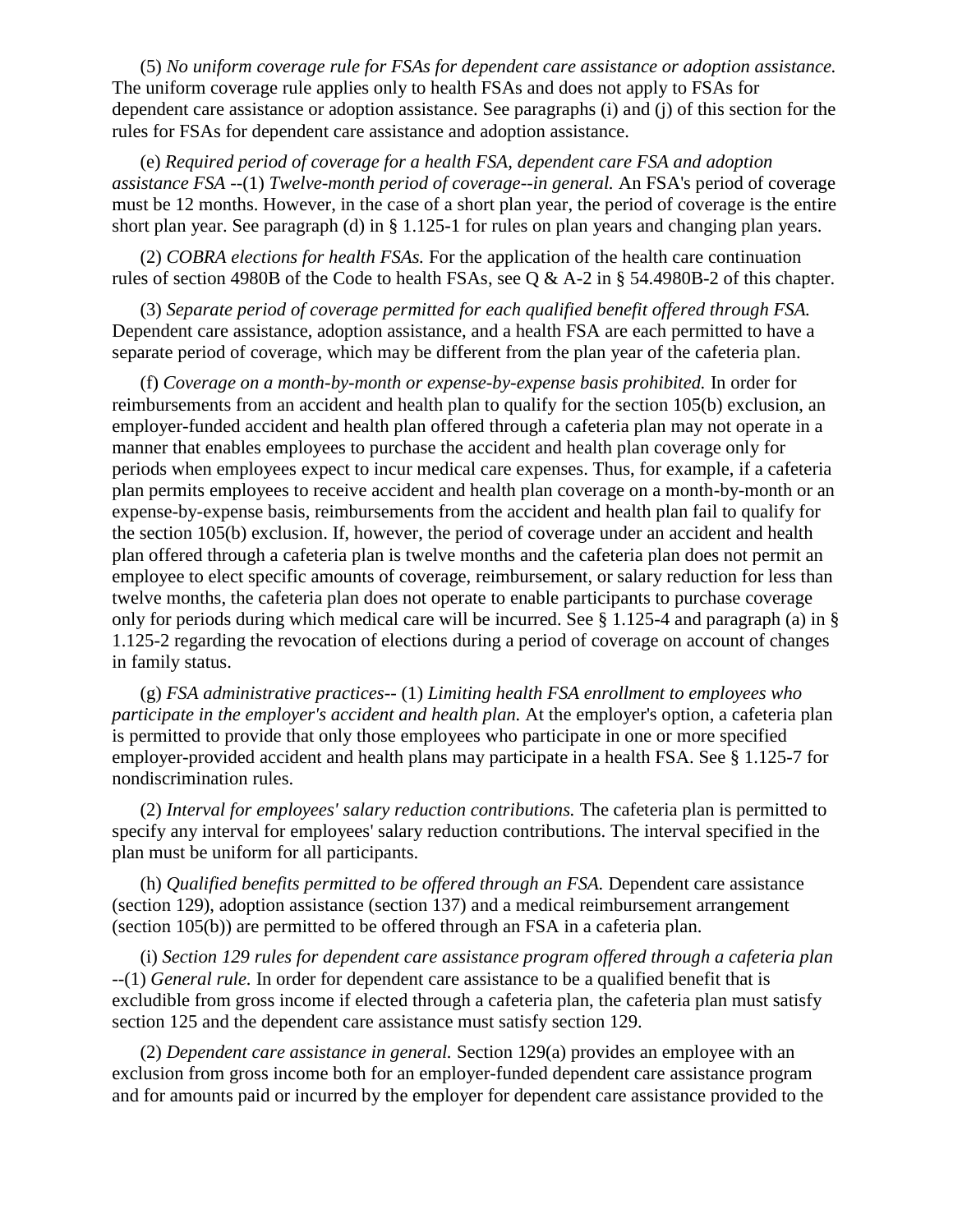(5) *No uniform coverage rule for FSAs for dependent care assistance or adoption assistance.* The uniform coverage rule applies only to health FSAs and does not apply to FSAs for dependent care assistance or adoption assistance. See paragraphs (i) and (j) of this section for the rules for FSAs for dependent care assistance and adoption assistance.

(e) *Required period of coverage for a health FSA, dependent care FSA and adoption assistance FSA* --(1) *Twelve-month period of coverage--in general.* An FSA's period of coverage must be 12 months. However, in the case of a short plan year, the period of coverage is the entire short plan year. See paragraph (d) in § 1.125-1 for rules on plan years and changing plan years.

(2) *COBRA elections for health FSAs.* For the application of the health care continuation rules of section 4980B of the Code to health FSAs, see Q & A-2 in § 54.4980B-2 of this chapter.

(3) *Separate period of coverage permitted for each qualified benefit offered through FSA.* Dependent care assistance, adoption assistance, and a health FSA are each permitted to have a separate period of coverage, which may be different from the plan year of the cafeteria plan.

(f) *Coverage on a month-by-month or expense-by-expense basis prohibited.* In order for reimbursements from an accident and health plan to qualify for the section 105(b) exclusion, an employer-funded accident and health plan offered through a cafeteria plan may not operate in a manner that enables employees to purchase the accident and health plan coverage only for periods when employees expect to incur medical care expenses. Thus, for example, if a cafeteria plan permits employees to receive accident and health plan coverage on a month-by-month or an expense-by-expense basis, reimbursements from the accident and health plan fail to qualify for the section 105(b) exclusion. If, however, the period of coverage under an accident and health plan offered through a cafeteria plan is twelve months and the cafeteria plan does not permit an employee to elect specific amounts of coverage, reimbursement, or salary reduction for less than twelve months, the cafeteria plan does not operate to enable participants to purchase coverage only for periods during which medical care will be incurred. See § 1.125-4 and paragraph (a) in § 1.125-2 regarding the revocation of elections during a period of coverage on account of changes in family status.

(g) *FSA administrative practices--* (1) *Limiting health FSA enrollment to employees who participate in the employer's accident and health plan.* At the employer's option, a cafeteria plan is permitted to provide that only those employees who participate in one or more specified employer-provided accident and health plans may participate in a health FSA. See § 1.125-7 for nondiscrimination rules.

(2) *Interval for employees' salary reduction contributions.* The cafeteria plan is permitted to specify any interval for employees' salary reduction contributions. The interval specified in the plan must be uniform for all participants.

(h) *Qualified benefits permitted to be offered through an FSA.* Dependent care assistance (section 129), adoption assistance (section 137) and a medical reimbursement arrangement (section 105(b)) are permitted to be offered through an FSA in a cafeteria plan.

(i) *Section 129 rules for dependent care assistance program offered through a cafeteria plan* --(1) *General rule.* In order for dependent care assistance to be a qualified benefit that is excludible from gross income if elected through a cafeteria plan, the cafeteria plan must satisfy section 125 and the dependent care assistance must satisfy section 129.

(2) *Dependent care assistance in general.* Section 129(a) provides an employee with an exclusion from gross income both for an employer-funded dependent care assistance program and for amounts paid or incurred by the employer for dependent care assistance provided to the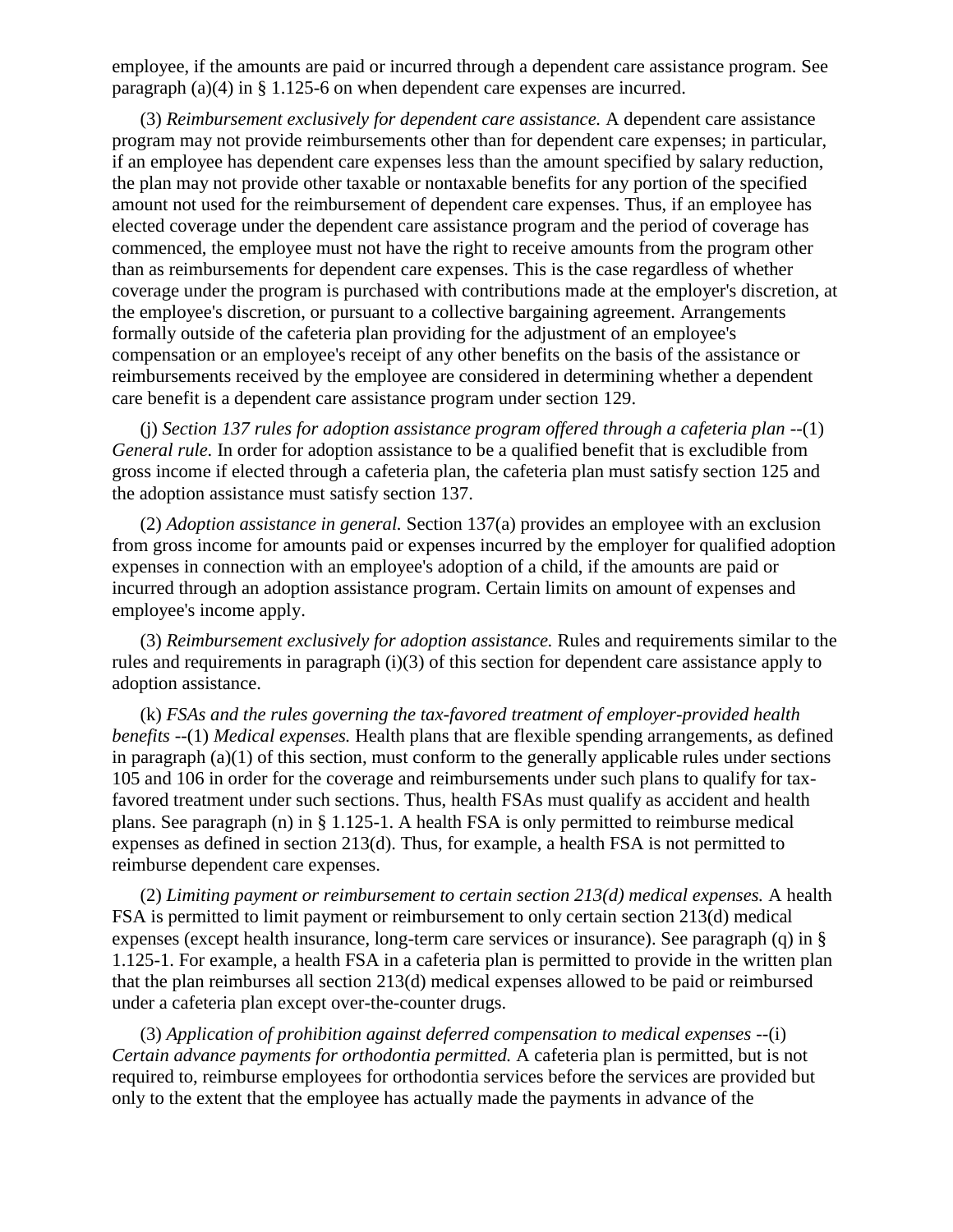employee, if the amounts are paid or incurred through a dependent care assistance program. See paragraph (a)(4) in § 1.125-6 on when dependent care expenses are incurred.

(3) *Reimbursement exclusively for dependent care assistance.* A dependent care assistance program may not provide reimbursements other than for dependent care expenses; in particular, if an employee has dependent care expenses less than the amount specified by salary reduction, the plan may not provide other taxable or nontaxable benefits for any portion of the specified amount not used for the reimbursement of dependent care expenses. Thus, if an employee has elected coverage under the dependent care assistance program and the period of coverage has commenced, the employee must not have the right to receive amounts from the program other than as reimbursements for dependent care expenses. This is the case regardless of whether coverage under the program is purchased with contributions made at the employer's discretion, at the employee's discretion, or pursuant to a collective bargaining agreement. Arrangements formally outside of the cafeteria plan providing for the adjustment of an employee's compensation or an employee's receipt of any other benefits on the basis of the assistance or reimbursements received by the employee are considered in determining whether a dependent care benefit is a dependent care assistance program under section 129.

(j) *Section 137 rules for adoption assistance program offered through a cafeteria plan* --(1) *General rule.* In order for adoption assistance to be a qualified benefit that is excludible from gross income if elected through a cafeteria plan, the cafeteria plan must satisfy section 125 and the adoption assistance must satisfy section 137.

(2) *Adoption assistance in general.* Section 137(a) provides an employee with an exclusion from gross income for amounts paid or expenses incurred by the employer for qualified adoption expenses in connection with an employee's adoption of a child, if the amounts are paid or incurred through an adoption assistance program. Certain limits on amount of expenses and employee's income apply.

(3) *Reimbursement exclusively for adoption assistance.* Rules and requirements similar to the rules and requirements in paragraph (i)(3) of this section for dependent care assistance apply to adoption assistance.

(k) *FSAs and the rules governing the tax-favored treatment of employer-provided health benefits* --(1) *Medical expenses.* Health plans that are flexible spending arrangements, as defined in paragraph (a)(1) of this section, must conform to the generally applicable rules under sections 105 and 106 in order for the coverage and reimbursements under such plans to qualify for taxfavored treatment under such sections. Thus, health FSAs must qualify as accident and health plans. See paragraph (n) in § 1.125-1. A health FSA is only permitted to reimburse medical expenses as defined in section 213(d). Thus, for example, a health FSA is not permitted to reimburse dependent care expenses.

(2) *Limiting payment or reimbursement to certain section 213(d) medical expenses.* A health FSA is permitted to limit payment or reimbursement to only certain section 213(d) medical expenses (except health insurance, long-term care services or insurance). See paragraph (q) in § 1.125-1. For example, a health FSA in a cafeteria plan is permitted to provide in the written plan that the plan reimburses all section 213(d) medical expenses allowed to be paid or reimbursed under a cafeteria plan except over-the-counter drugs.

(3) *Application of prohibition against deferred compensation to medical expenses* --(i) *Certain advance payments for orthodontia permitted.* A cafeteria plan is permitted, but is not required to, reimburse employees for orthodontia services before the services are provided but only to the extent that the employee has actually made the payments in advance of the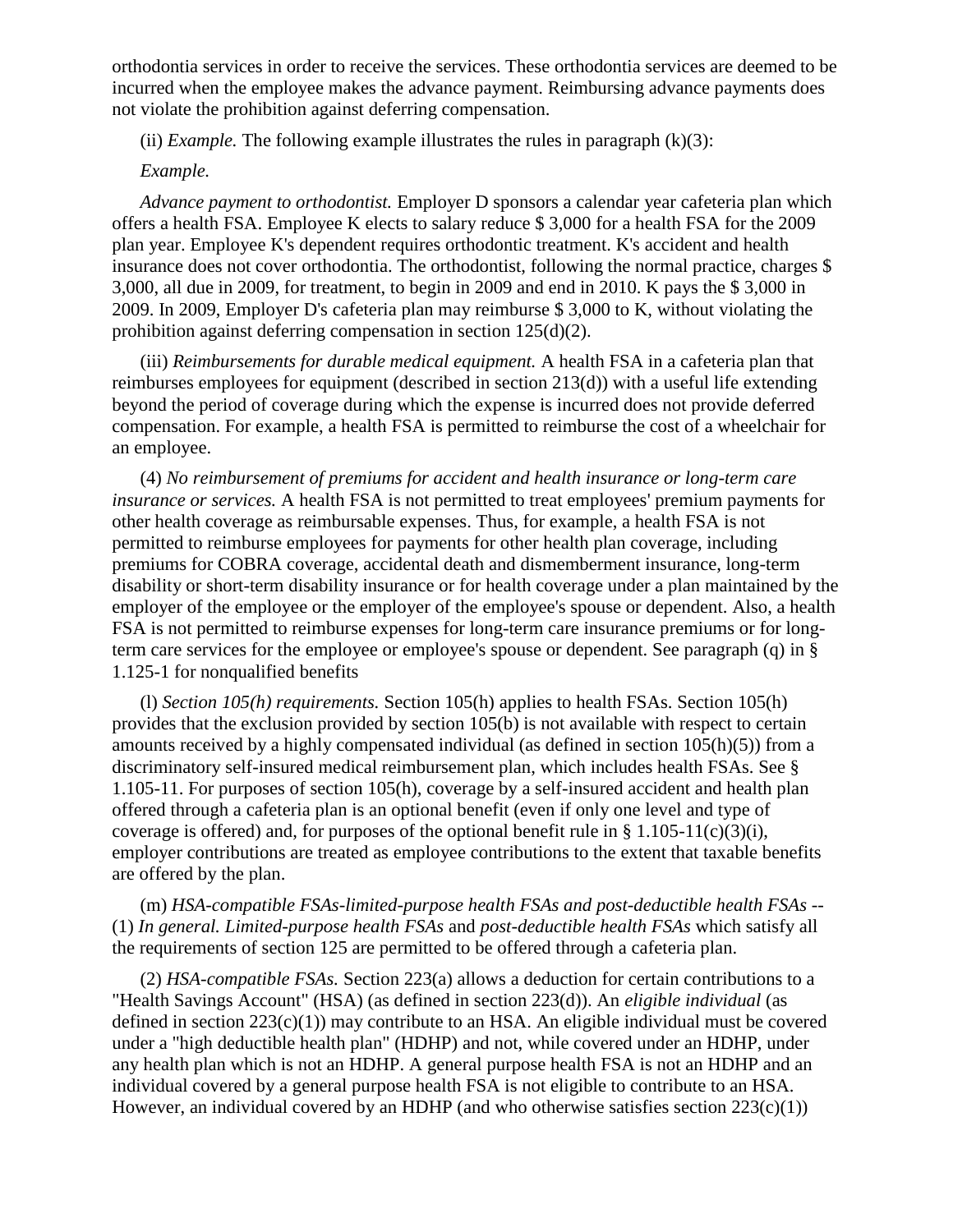orthodontia services in order to receive the services. These orthodontia services are deemed to be incurred when the employee makes the advance payment. Reimbursing advance payments does not violate the prohibition against deferring compensation.

(ii) *Example*. The following example illustrates the rules in paragraph  $(k)(3)$ :

#### *Example.*

*Advance payment to orthodontist.* Employer D sponsors a calendar year cafeteria plan which offers a health FSA. Employee K elects to salary reduce \$ 3,000 for a health FSA for the 2009 plan year. Employee K's dependent requires orthodontic treatment. K's accident and health insurance does not cover orthodontia. The orthodontist, following the normal practice, charges \$ 3,000, all due in 2009, for treatment, to begin in 2009 and end in 2010. K pays the \$ 3,000 in 2009. In 2009, Employer D's cafeteria plan may reimburse \$ 3,000 to K, without violating the prohibition against deferring compensation in section 125(d)(2).

(iii) *Reimbursements for durable medical equipment.* A health FSA in a cafeteria plan that reimburses employees for equipment (described in section 213(d)) with a useful life extending beyond the period of coverage during which the expense is incurred does not provide deferred compensation. For example, a health FSA is permitted to reimburse the cost of a wheelchair for an employee.

(4) *No reimbursement of premiums for accident and health insurance or long-term care insurance or services.* A health FSA is not permitted to treat employees' premium payments for other health coverage as reimbursable expenses. Thus, for example, a health FSA is not permitted to reimburse employees for payments for other health plan coverage, including premiums for COBRA coverage, accidental death and dismemberment insurance, long-term disability or short-term disability insurance or for health coverage under a plan maintained by the employer of the employee or the employer of the employee's spouse or dependent. Also, a health FSA is not permitted to reimburse expenses for long-term care insurance premiums or for longterm care services for the employee or employee's spouse or dependent. See paragraph (q) in § 1.125-1 for nonqualified benefits

(l) *Section 105(h) requirements.* Section 105(h) applies to health FSAs. Section 105(h) provides that the exclusion provided by section 105(b) is not available with respect to certain amounts received by a highly compensated individual (as defined in section 105(h)(5)) from a discriminatory self-insured medical reimbursement plan, which includes health FSAs. See § 1.105-11. For purposes of section 105(h), coverage by a self-insured accident and health plan offered through a cafeteria plan is an optional benefit (even if only one level and type of coverage is offered) and, for purposes of the optional benefit rule in  $\S 1.105-11(c)(3)(i)$ , employer contributions are treated as employee contributions to the extent that taxable benefits are offered by the plan.

(m) *HSA-compatible FSAs-limited-purpose health FSAs and post-deductible health FSAs* -- (1) *In general. Limited-purpose health FSAs* and *post-deductible health FSAs* which satisfy all the requirements of section 125 are permitted to be offered through a cafeteria plan.

(2) *HSA-compatible FSAs.* Section 223(a) allows a deduction for certain contributions to a "Health Savings Account" (HSA) (as defined in section 223(d)). An *eligible individual* (as defined in section  $223(c)(1)$ ) may contribute to an HSA. An eligible individual must be covered under a "high deductible health plan" (HDHP) and not, while covered under an HDHP, under any health plan which is not an HDHP. A general purpose health FSA is not an HDHP and an individual covered by a general purpose health FSA is not eligible to contribute to an HSA. However, an individual covered by an HDHP (and who otherwise satisfies section  $223(c)(1)$ )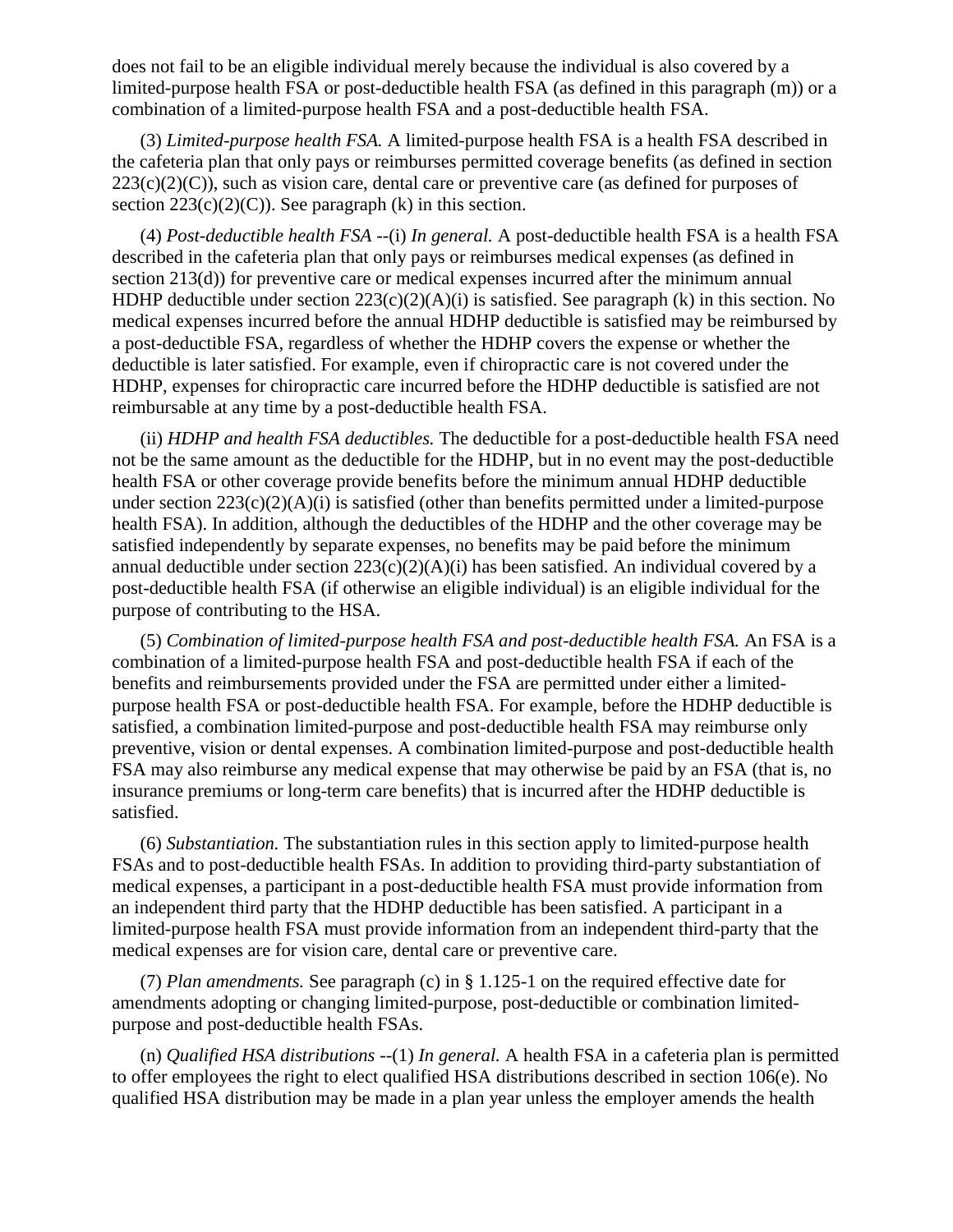does not fail to be an eligible individual merely because the individual is also covered by a limited-purpose health FSA or post-deductible health FSA (as defined in this paragraph (m)) or a combination of a limited-purpose health FSA and a post-deductible health FSA.

(3) *Limited-purpose health FSA.* A limited-purpose health FSA is a health FSA described in the cafeteria plan that only pays or reimburses permitted coverage benefits (as defined in section  $223(c)(2)(C)$ , such as vision care, dental care or preventive care (as defined for purposes of section  $223(c)(2)(C)$ . See paragraph (k) in this section.

(4) *Post-deductible health FSA* --(i) *In general.* A post-deductible health FSA is a health FSA described in the cafeteria plan that only pays or reimburses medical expenses (as defined in section 213(d)) for preventive care or medical expenses incurred after the minimum annual HDHP deductible under section  $223(c)(2)(A)(i)$  is satisfied. See paragraph (k) in this section. No medical expenses incurred before the annual HDHP deductible is satisfied may be reimbursed by a post-deductible FSA, regardless of whether the HDHP covers the expense or whether the deductible is later satisfied. For example, even if chiropractic care is not covered under the HDHP, expenses for chiropractic care incurred before the HDHP deductible is satisfied are not reimbursable at any time by a post-deductible health FSA.

(ii) *HDHP and health FSA deductibles.* The deductible for a post-deductible health FSA need not be the same amount as the deductible for the HDHP, but in no event may the post-deductible health FSA or other coverage provide benefits before the minimum annual HDHP deductible under section  $223(c)(2)(A)(i)$  is satisfied (other than benefits permitted under a limited-purpose health FSA). In addition, although the deductibles of the HDHP and the other coverage may be satisfied independently by separate expenses, no benefits may be paid before the minimum annual deductible under section  $223(c)(2)(A)(i)$  has been satisfied. An individual covered by a post-deductible health FSA (if otherwise an eligible individual) is an eligible individual for the purpose of contributing to the HSA.

(5) *Combination of limited-purpose health FSA and post-deductible health FSA.* An FSA is a combination of a limited-purpose health FSA and post-deductible health FSA if each of the benefits and reimbursements provided under the FSA are permitted under either a limitedpurpose health FSA or post-deductible health FSA. For example, before the HDHP deductible is satisfied, a combination limited-purpose and post-deductible health FSA may reimburse only preventive, vision or dental expenses. A combination limited-purpose and post-deductible health FSA may also reimburse any medical expense that may otherwise be paid by an FSA (that is, no insurance premiums or long-term care benefits) that is incurred after the HDHP deductible is satisfied.

(6) *Substantiation.* The substantiation rules in this section apply to limited-purpose health FSAs and to post-deductible health FSAs. In addition to providing third-party substantiation of medical expenses, a participant in a post-deductible health FSA must provide information from an independent third party that the HDHP deductible has been satisfied. A participant in a limited-purpose health FSA must provide information from an independent third-party that the medical expenses are for vision care, dental care or preventive care.

(7) *Plan amendments.* See paragraph (c) in § 1.125-1 on the required effective date for amendments adopting or changing limited-purpose, post-deductible or combination limitedpurpose and post-deductible health FSAs.

(n) *Qualified HSA distributions* --(1) *In general.* A health FSA in a cafeteria plan is permitted to offer employees the right to elect qualified HSA distributions described in section 106(e). No qualified HSA distribution may be made in a plan year unless the employer amends the health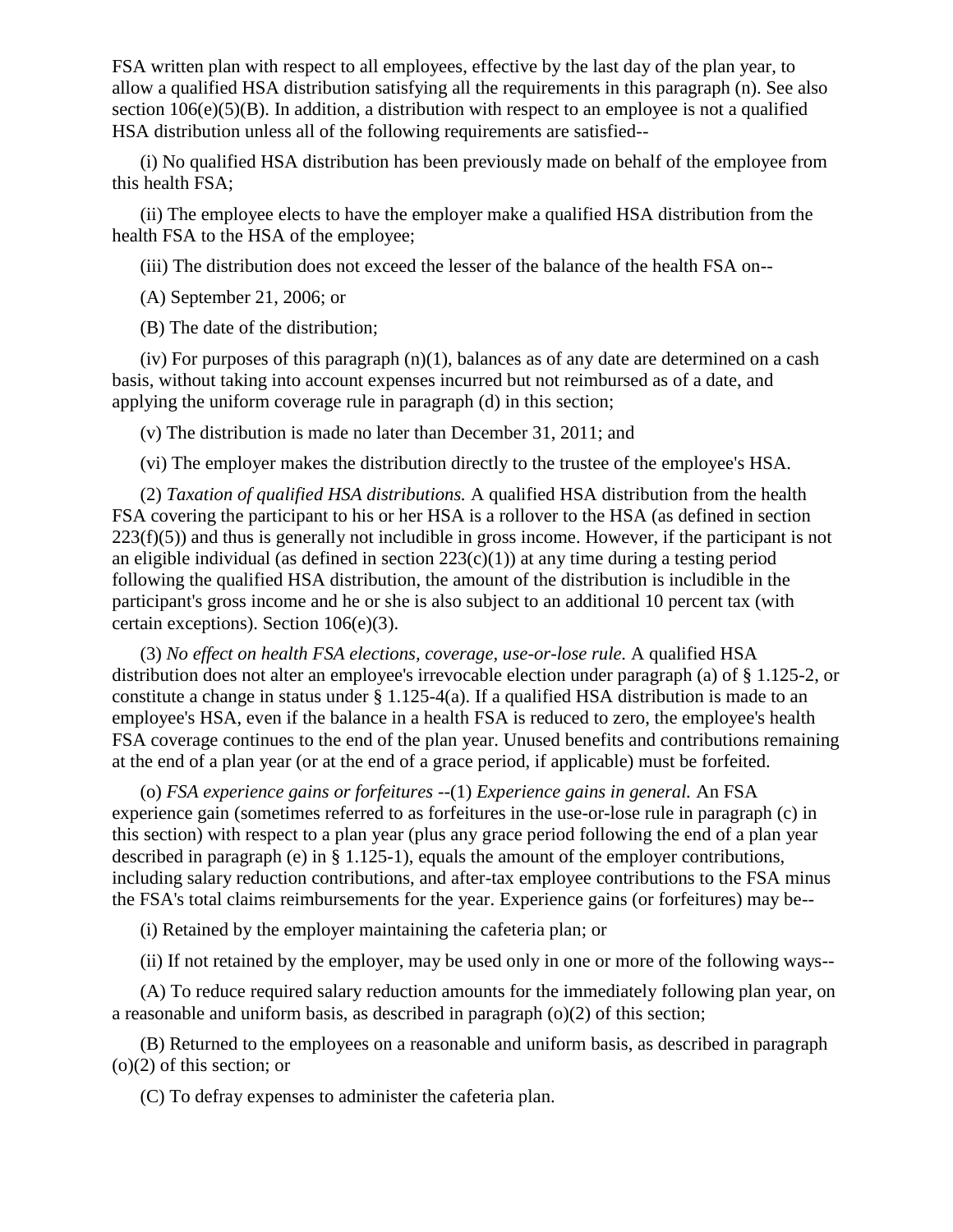FSA written plan with respect to all employees, effective by the last day of the plan year, to allow a qualified HSA distribution satisfying all the requirements in this paragraph (n). See also section  $106(e)(5)(B)$ . In addition, a distribution with respect to an employee is not a qualified HSA distribution unless all of the following requirements are satisfied--

(i) No qualified HSA distribution has been previously made on behalf of the employee from this health FSA;

(ii) The employee elects to have the employer make a qualified HSA distribution from the health FSA to the HSA of the employee;

(iii) The distribution does not exceed the lesser of the balance of the health FSA on--

(A) September 21, 2006; or

(B) The date of the distribution;

(iv) For purposes of this paragraph  $(n)(1)$ , balances as of any date are determined on a cash basis, without taking into account expenses incurred but not reimbursed as of a date, and applying the uniform coverage rule in paragraph (d) in this section;

(v) The distribution is made no later than December 31, 2011; and

(vi) The employer makes the distribution directly to the trustee of the employee's HSA.

(2) *Taxation of qualified HSA distributions.* A qualified HSA distribution from the health FSA covering the participant to his or her HSA is a rollover to the HSA (as defined in section  $223(f)(5)$ ) and thus is generally not includible in gross income. However, if the participant is not an eligible individual (as defined in section  $223(c)(1)$ ) at any time during a testing period following the qualified HSA distribution, the amount of the distribution is includible in the participant's gross income and he or she is also subject to an additional 10 percent tax (with certain exceptions). Section 106(e)(3).

(3) *No effect on health FSA elections, coverage, use-or-lose rule.* A qualified HSA distribution does not alter an employee's irrevocable election under paragraph (a) of § 1.125-2, or constitute a change in status under  $\S 1.125-4(a)$ . If a qualified HSA distribution is made to an employee's HSA, even if the balance in a health FSA is reduced to zero, the employee's health FSA coverage continues to the end of the plan year. Unused benefits and contributions remaining at the end of a plan year (or at the end of a grace period, if applicable) must be forfeited.

(o) *FSA experience gains or forfeitures* --(1) *Experience gains in general.* An FSA experience gain (sometimes referred to as forfeitures in the use-or-lose rule in paragraph (c) in this section) with respect to a plan year (plus any grace period following the end of a plan year described in paragraph (e) in § 1.125-1), equals the amount of the employer contributions, including salary reduction contributions, and after-tax employee contributions to the FSA minus the FSA's total claims reimbursements for the year. Experience gains (or forfeitures) may be--

(i) Retained by the employer maintaining the cafeteria plan; or

(ii) If not retained by the employer, may be used only in one or more of the following ways--

(A) To reduce required salary reduction amounts for the immediately following plan year, on a reasonable and uniform basis, as described in paragraph (o)(2) of this section;

(B) Returned to the employees on a reasonable and uniform basis, as described in paragraph (o)(2) of this section; or

(C) To defray expenses to administer the cafeteria plan.